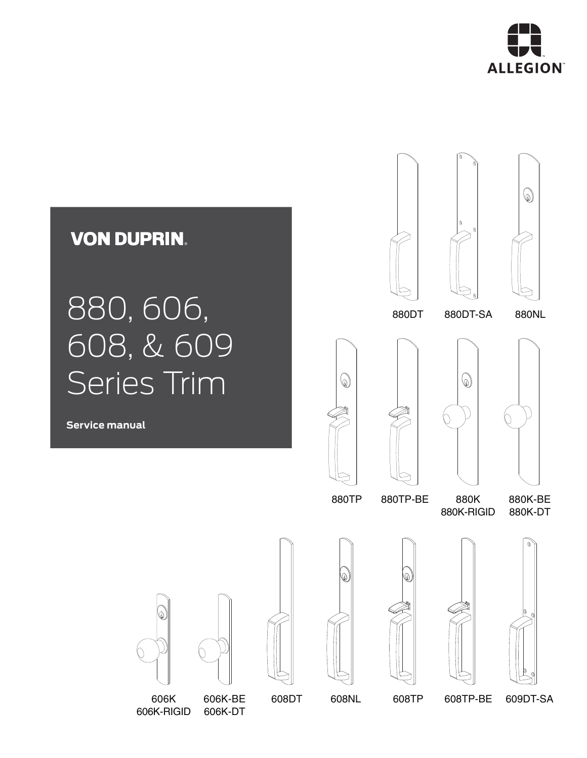

6

## **VON DUPRIN.**

# 880, 606, 608, & 609 Series Trim

**Service manual**





880DT 880NL 880DT-SA







880TP 880K 880TP-BE

880K-RIGID

880K-BE 880K-DT





606K 608DT 608NL 608TP 606K-RIGID 606K-DT









608TP-BE

609DT-SA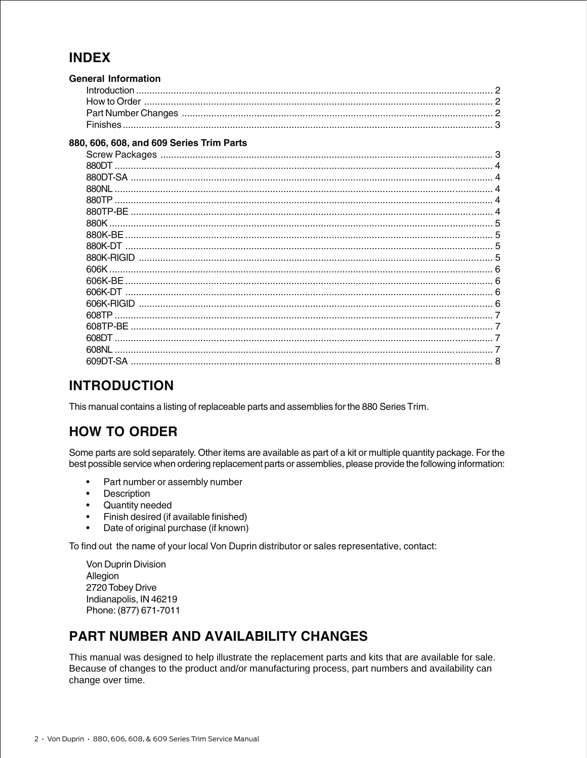#### **INDEX**

| <b>General Information</b><br>Introduction |  |
|--------------------------------------------|--|
|                                            |  |
|                                            |  |
|                                            |  |
| 880, 606, 608, and 609 Series Trim Parts   |  |
|                                            |  |
|                                            |  |
|                                            |  |
| 880NL                                      |  |
|                                            |  |
|                                            |  |
| 880K                                       |  |
| 880K-RF                                    |  |
| 880K-DT                                    |  |
|                                            |  |
| 606K                                       |  |
| 606K-BE                                    |  |
| 606K-DT                                    |  |
|                                            |  |
|                                            |  |
| 608TP-BF                                   |  |
| 608DT                                      |  |
| 608NL                                      |  |
|                                            |  |

#### **INTRODUCTION**

This manual contains a listing of replaceable parts and assemblies for the 880 Series Trim.

#### **HOW TO ORDER**

Some parts are sold separately. Other items are available as part of a kit or multiple quantity package. For the best possible service when ordering replacement parts or assemblies, please provide the following information:

- Part number or assembly number  $\bullet$
- Description
- Quantity needed
- Finish desired (if available finished)
- $\bullet$ Date of original purchase (if known)

To find out the name of your local Von Duprin distributor or sales representative, contact:

Von Duprin Division Allegion 2720 Tobey Drive Indianapolis, IN 46219 Phone: (877) 671-7011

#### **PART NUMBER AND AVAILABILITY CHANGES**

This manual was designed to help illustrate the replacement parts and kits that are available for sale. Because of changes to the product and/or manufacturing process, part numbers and availability can change over time.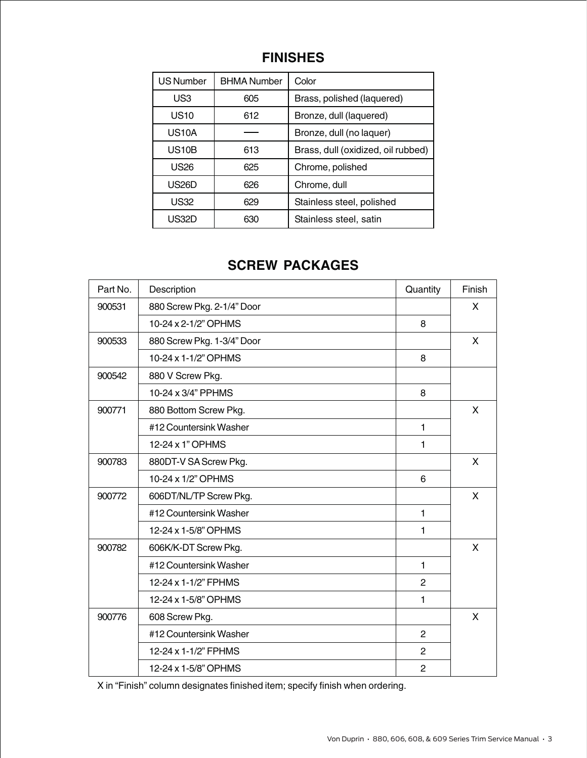#### **FINISHES**

| <b>US Number</b>   | <b>BHMA Number</b> | Color                              |
|--------------------|--------------------|------------------------------------|
| US <sub>3</sub>    | 605                | Brass, polished (laquered)         |
| <b>US10</b>        | 612                | Bronze, dull (laquered)            |
| US <sub>10</sub> A |                    | Bronze, dull (no laquer)           |
| <b>US10B</b>       | 613                | Brass, dull (oxidized, oil rubbed) |
| US <sub>26</sub>   | 625                | Chrome, polished                   |
| <b>US26D</b>       | 626                | Chrome, dull                       |
| US32               | 629                | Stainless steel, polished          |
| US32D              | 630                | Stainless steel, satin             |

#### **SCREW PACKAGES**

| Part No. | Description                | Quantity       | Finish |
|----------|----------------------------|----------------|--------|
| 900531   | 880 Screw Pkg. 2-1/4" Door |                | X      |
|          | 10-24 x 2-1/2" OPHMS       | 8              |        |
| 900533   | 880 Screw Pkg. 1-3/4" Door |                | X      |
|          | 10-24 x 1-1/2" OPHMS       | 8              |        |
| 900542   | 880 V Screw Pkg.           |                |        |
|          | 10-24 x 3/4" PPHMS         | 8              |        |
| 900771   | 880 Bottom Screw Pkg.      |                | X      |
|          | #12 Countersink Washer     | $\mathbf{1}$   |        |
|          | 12-24 x 1" OPHMS           | 1              |        |
| 900783   | 880DT-V SA Screw Pkg.      |                | X      |
|          | 10-24 x 1/2" OPHMS         | 6              |        |
| 900772   | 606DT/NL/TP Screw Pkg.     |                | X      |
|          | #12 Countersink Washer     | $\mathbf{1}$   |        |
|          | 12-24 x 1-5/8" OPHMS       | 1              |        |
| 900782   | 606K/K-DT Screw Pkg.       |                | X      |
|          | #12 Countersink Washer     | $\mathbf{1}$   |        |
|          | 12-24 x 1-1/2" FPHMS       | $\overline{2}$ |        |
|          | 12-24 x 1-5/8" OPHMS       | $\mathbf{1}$   |        |
| 900776   | 608 Screw Pkg.             |                | X      |
|          | #12 Countersink Washer     | $\overline{2}$ |        |
|          | 12-24 x 1-1/2" FPHMS       | $\overline{c}$ |        |
|          | 12-24 x 1-5/8" OPHMS       | $\overline{2}$ |        |

X in "Finish" column designates finished item; specify finish when ordering.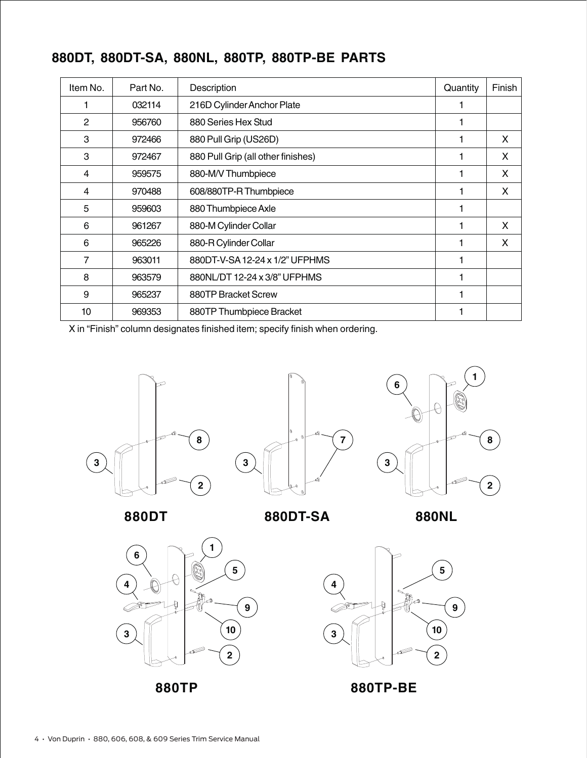| Item No.       | Part No. | Description                        | Quantity | Finish |
|----------------|----------|------------------------------------|----------|--------|
|                | 032114   | 216D Cylinder Anchor Plate         |          |        |
| $\mathbf{2}$   | 956760   | 880 Series Hex Stud                |          |        |
| 3              | 972466   | 880 Pull Grip (US26D)              |          | X      |
| 3              | 972467   | 880 Pull Grip (all other finishes) |          | X      |
| 4              | 959575   | 880-M/V Thumbpiece                 |          | X      |
| 4              | 970488   | 608/880TP-R Thumbpiece             |          | X      |
| 5              | 959603   | 880 Thumbpiece Axle                |          |        |
| 6              | 961267   | 880-M Cylinder Collar              |          | X      |
| 6              | 965226   | 880-R Cylinder Collar              |          | X      |
| $\overline{7}$ | 963011   | 880DT-V-SA 12-24 x 1/2" UFPHMS     |          |        |
| 8              | 963579   | 880NL/DT 12-24 x 3/8" UFPHMS       |          |        |
| 9              | 965237   | 880TP Bracket Screw                |          |        |
| 10             | 969353   | 880TP Thumbpiece Bracket           |          |        |

#### **880DT, 880DT-SA, 880NL, 880TP, 880TP-BE PARTS**

X in "Finish" column designates finished item; specify finish when ordering.







**880DT**

**880DT-SA**

**880NL**





**880TP-BE**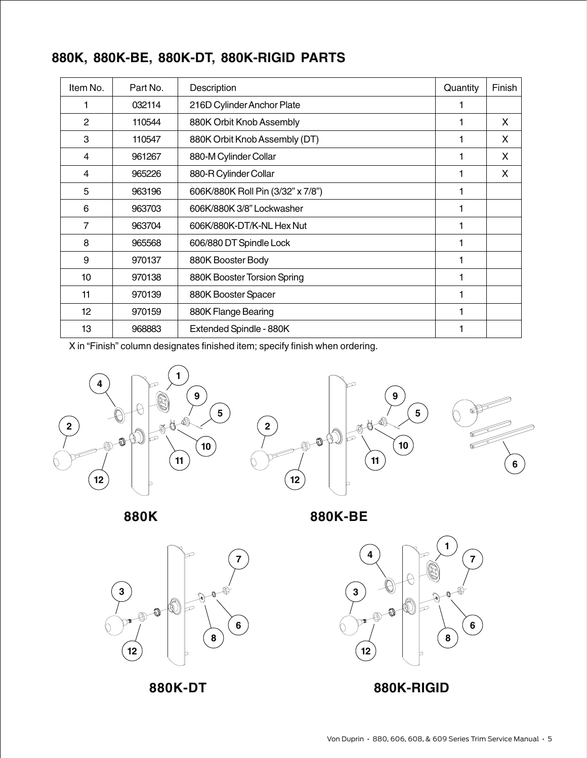|  |  |  | 880K, 880K-BE, 880K-DT, 880K-RIGID PARTS |  |
|--|--|--|------------------------------------------|--|
|--|--|--|------------------------------------------|--|

| Item No. | Part No. | Description                       | Quantity | Finish |
|----------|----------|-----------------------------------|----------|--------|
|          | 032114   | 216D Cylinder Anchor Plate        |          |        |
| 2        | 110544   | 880K Orbit Knob Assembly          |          | X      |
| 3        | 110547   | 880K Orbit Knob Assembly (DT)     |          | X      |
| 4        | 961267   | 880-M Cylinder Collar             |          | X      |
| 4        | 965226   | 880-R Cylinder Collar             |          | X      |
| 5        | 963196   | 606K/880K Roll Pin (3/32" x 7/8") |          |        |
| 6        | 963703   | 606K/880K 3/8" Lockwasher         |          |        |
| 7        | 963704   | 606K/880K-DT/K-NL Hex Nut         |          |        |
| 8        | 965568   | 606/880 DT Spindle Lock           |          |        |
| 9        | 970137   | 880K Booster Body                 |          |        |
| 10       | 970138   | 880K Booster Torsion Spring       |          |        |
| 11       | 970139   | 880K Booster Spacer               | 1        |        |
| 12       | 970159   | 880K Flange Bearing               |          |        |
| 13       | 968883   | Extended Spindle - 880K           |          |        |

X in "Finish" column designates finished item; specify finish when ordering.





**880K**

**880K-BE**





**880K-DT 880K-RIGID**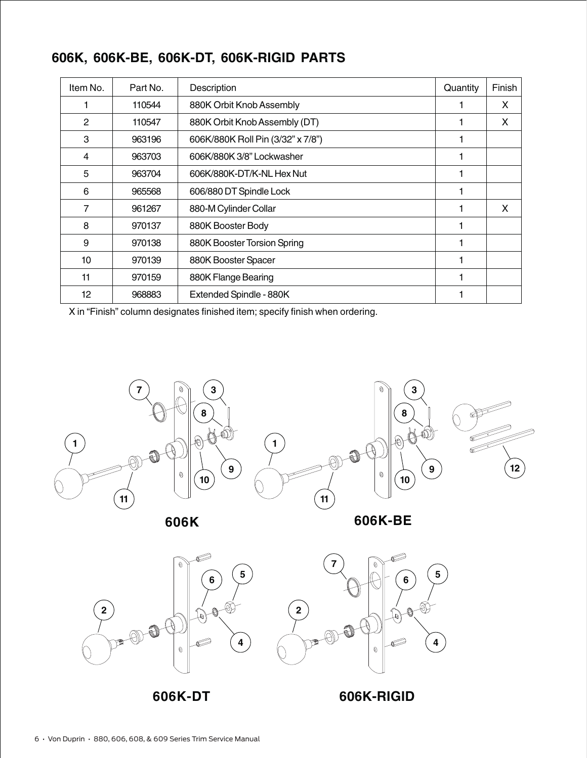| Item No.        | Part No. | Description                       | Quantity | Finish |
|-----------------|----------|-----------------------------------|----------|--------|
|                 | 110544   | 880K Orbit Knob Assembly          |          | X      |
| 2               | 110547   | 880K Orbit Knob Assembly (DT)     |          | X.     |
| 3               | 963196   | 606K/880K Roll Pin (3/32" x 7/8") |          |        |
| 4               | 963703   | 606K/880K 3/8" Lockwasher         |          |        |
| 5               | 963704   | 606K/880K-DT/K-NL Hex Nut         | 1        |        |
| 6               | 965568   | 606/880 DT Spindle Lock           |          |        |
| 7               | 961267   | 880-M Cylinder Collar             |          | X      |
| 8               | 970137   | 880K Booster Body                 |          |        |
| 9               | 970138   | 880K Booster Torsion Spring       |          |        |
| 10              | 970139   | 880K Booster Spacer               |          |        |
| 11              | 970159   | 880K Flange Bearing               | 1        |        |
| 12 <sup>°</sup> | 968883   | Extended Spindle - 880K           |          |        |

#### **606K, 606K-BE, 606K-DT, 606K-RIGID PARTS**

X in "Finish" column designates finished item; specify finish when ordering.



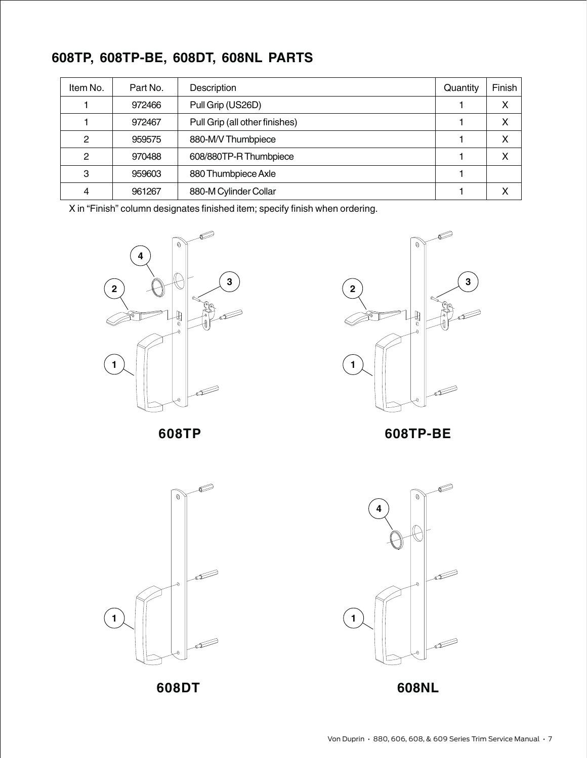### **608TP, 608TP-BE, 608DT, 608NL PARTS**

| Item No.     | Part No. | Description                    | Quantity | Finish |
|--------------|----------|--------------------------------|----------|--------|
|              | 972466   | Pull Grip (US26D)              |          | x      |
|              | 972467   | Pull Grip (all other finishes) |          | x      |
| $\mathbf{2}$ | 959575   | 880-M/V Thumbpiece             |          | X      |
| 2            | 970488   | 608/880TP-R Thumbpiece         |          | χ      |
| 3            | 959603   | 880 Thumbpiece Axle            |          |        |
| 4            | 961267   | 880-M Cylinder Collar          |          |        |

X in "Finish" column designates finished item; specify finish when ordering.





**608TP 608TP-BE**



**608DT 608NL**

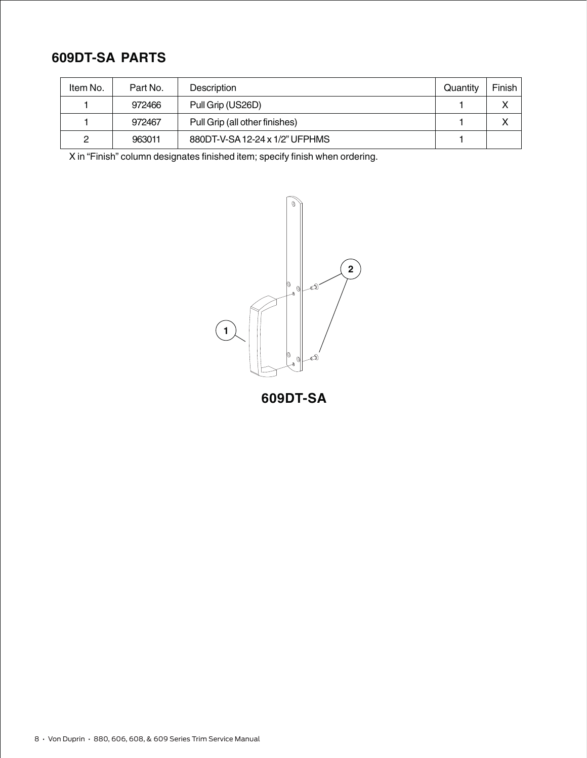#### **609DT-SA PARTS**

| Item No. | Part No. | Description                    | Quantity | Finish |
|----------|----------|--------------------------------|----------|--------|
|          | 972466   | Pull Grip (US26D)              |          |        |
|          | 972467   | Pull Grip (all other finishes) |          |        |
| っ        | 963011   | 880DT-V-SA 12-24 x 1/2" UFPHMS |          |        |

X in "Finish" column designates finished item; specify finish when ordering.



**609DT-SA**